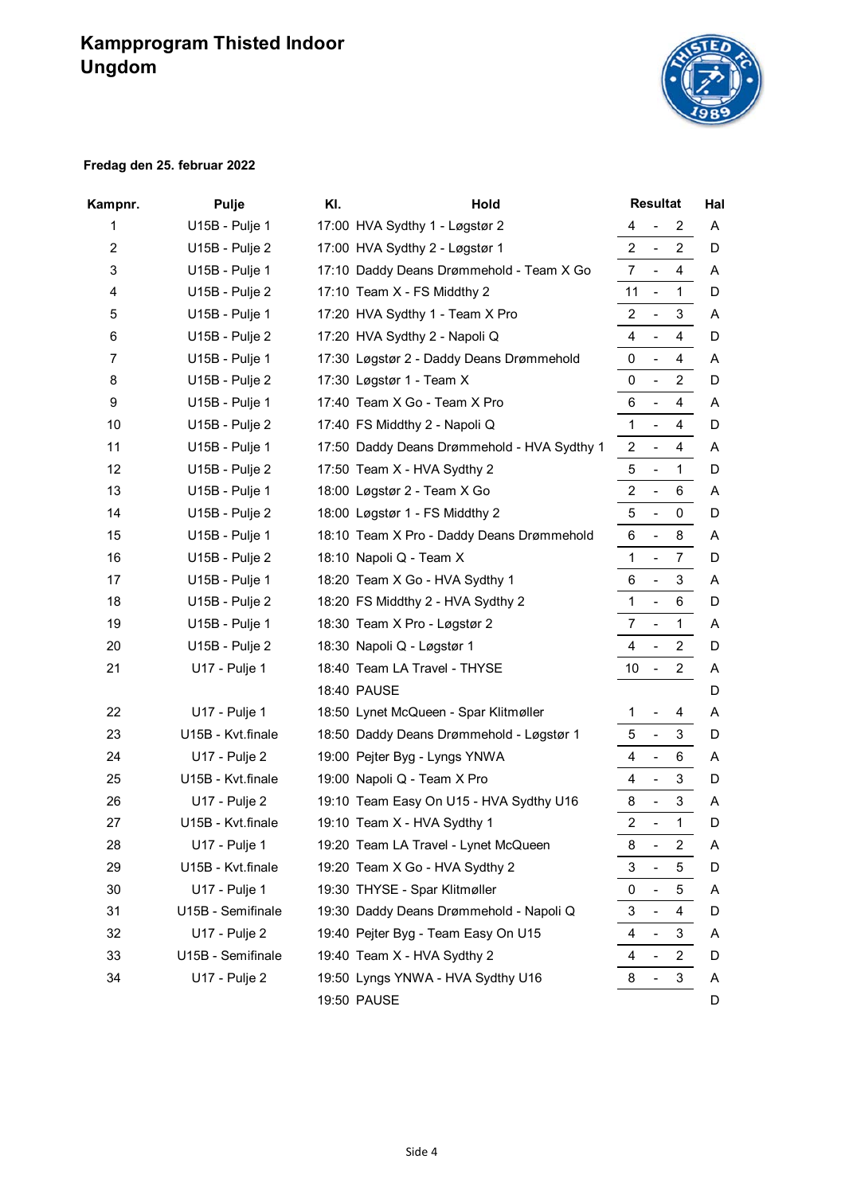# **Kampprogram Thisted Indoor Ungdom**



#### **Fredag den 25. februar 2022**

| Kampnr. | <b>Pulje</b>         | KI. | Hold                                        |                | <b>Resultat</b>              |                |   |
|---------|----------------------|-----|---------------------------------------------|----------------|------------------------------|----------------|---|
| 1       | U15B - Pulje 1       |     | 17:00 HVA Sydthy 1 - Løgstør 2              | 4              | $\overline{\phantom{a}}$     | $\overline{2}$ | A |
| 2       | U15B - Pulje 2       |     | 17:00 HVA Sydthy 2 - Løgstør 1              | $\overline{2}$ | $\overline{\phantom{a}}$     | $\overline{2}$ | D |
| 3       | U15B - Pulje 1       |     | 17:10 Daddy Deans Drømmehold - Team X Go    | $\overline{7}$ | $\blacksquare$               | $\overline{4}$ | A |
| 4       | U15B - Pulje 2       |     | 17:10 Team X - FS Middthy 2                 | 11             | $\blacksquare$               | $\mathbf{1}$   | D |
| 5       | U15B - Pulje 1       |     | 17:20 HVA Sydthy 1 - Team X Pro             | $\overline{a}$ | $\blacksquare$               | 3              | A |
| 6       | U15B - Pulje 2       |     | 17:20 HVA Sydthy 2 - Napoli Q               | 4              | $\overline{a}$               | 4              | D |
| 7       | U15B - Pulje 1       |     | 17:30 Løgstør 2 - Daddy Deans Drømmehold    | 0              | $\overline{\phantom{a}}$     | 4              | A |
| 8       | U15B - Pulje 2       |     | 17:30 Løgstør 1 - Team X                    | 0              | $\blacksquare$               | $\overline{2}$ | D |
| 9       | U15B - Pulje 1       |     | 17:40 Team X Go - Team X Pro                | 6              | $\overline{\phantom{a}}$     | 4              | A |
| 10      | U15B - Pulje 2       |     | 17:40 FS Middthy 2 - Napoli Q               | $\mathbf{1}$   | $\overline{\phantom{a}}$     | 4              | D |
| 11      | U15B - Pulje 1       |     | 17:50 Daddy Deans Drømmehold - HVA Sydthy 1 | $\overline{2}$ | $\blacksquare$               | 4              | A |
| 12      | U15B - Pulje 2       |     | 17:50 Team X - HVA Sydthy 2                 | 5              | $\overline{\phantom{a}}$     | 1              | D |
| 13      | U15B - Pulje 1       |     | 18:00 Løgstør 2 - Team X Go                 | $\overline{2}$ | $\blacksquare$               | 6              | A |
| 14      | U15B - Pulje 2       |     | 18:00 Løgstør 1 - FS Middthy 2              | 5              | $\blacksquare$               | $\pmb{0}$      | D |
| 15      | U15B - Pulje 1       |     | 18:10 Team X Pro - Daddy Deans Drømmehold   | 6              | $\overline{\phantom{a}}$     | 8              | A |
| 16      | U15B - Pulje 2       |     | 18:10 Napoli Q - Team X                     | $\mathbf{1}$   | $\blacksquare$               | $\overline{7}$ | D |
| 17      | U15B - Pulje 1       |     | 18:20 Team X Go - HVA Sydthy 1              | 6              | $\overline{\phantom{a}}$     | 3              | A |
| 18      | U15B - Pulje 2       |     | 18:20 FS Middthy 2 - HVA Sydthy 2           | $\mathbf{1}$   | $\overline{a}$               | 6              | D |
| 19      | U15B - Pulje 1       |     | 18:30 Team X Pro - Løgstør 2                | $\overline{7}$ | $\blacksquare$               | $\mathbf{1}$   | A |
| 20      | U15B - Pulje 2       |     | 18:30 Napoli Q - Løgstør 1                  | 4              | $\blacksquare$               | $\overline{2}$ | D |
| 21      | <b>U17 - Pulje 1</b> |     | 18:40 Team LA Travel - THYSE                | 10             | $\blacksquare$               | $\overline{2}$ | Α |
|         |                      |     | 18:40 PAUSE                                 |                |                              |                | D |
| 22      | U17 - Pulje 1        |     | 18:50 Lynet McQueen - Spar Klitmøller       | 1              | $\blacksquare$               | 4              | A |
| 23      | U15B - Kvt.finale    |     | 18:50 Daddy Deans Drømmehold - Løgstør 1    | 5              | $\blacksquare$               | 3              | D |
| 24      | U17 - Pulje 2        |     | 19:00 Pejter Byg - Lyngs YNWA               | 4              | $\overline{\phantom{a}}$     | 6              | A |
| 25      | U15B - Kvt.finale    |     | 19:00 Napoli Q - Team X Pro                 | 4              | $\blacksquare$               | 3              | D |
| 26      | U17 - Pulje 2        |     | 19:10 Team Easy On U15 - HVA Sydthy U16     | 8              | $\overline{\phantom{a}}$     | 3              | A |
| 27      | U15B - Kvt.finale    |     | 19:10 Team X - HVA Sydthy 1                 | $\overline{2}$ | $\overline{a}$               | $\mathbf{1}$   | D |
| 28      | U17 - Pulje 1        |     | 19:20 Team LA Travel - Lynet McQueen        | 8              | $\qquad \qquad \blacksquare$ | $\overline{c}$ | Α |
| 29      | U15B - Kvt.finale    |     | 19:20 Team X Go - HVA Sydthy 2              | 3              | $\overline{\phantom{a}}$     | 5              | D |
| 30      | U17 - Pulje 1        |     | 19:30 THYSE - Spar Klitmøller               | 0              | $\blacksquare$               | 5              | A |
| 31      | U15B - Semifinale    |     | 19:30 Daddy Deans Drømmehold - Napoli Q     | 3              | $\qquad \qquad \blacksquare$ | 4              | D |
| 32      | U17 - Pulje 2        |     | 19:40 Pejter Byg - Team Easy On U15         | 4              | $\overline{\phantom{a}}$     | 3              | Α |
| 33      | U15B - Semifinale    |     | 19:40 Team X - HVA Sydthy 2                 | 4              | $\blacksquare$               | $\overline{2}$ | D |
| 34      | U17 - Pulje 2        |     | 19:50 Lyngs YNWA - HVA Sydthy U16           | 8              | $\overline{\phantom{0}}$     | 3              | A |
|         |                      |     | 19:50 PAUSE                                 |                |                              |                | D |